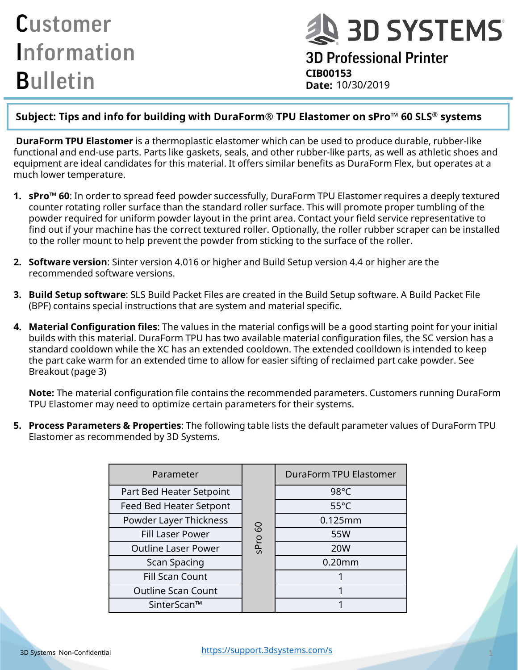**A 3D SYSTEMS** 

3D Professional Printer **CIB00153** Date: 10/30/2019

#### **Subject: Tips and info for building with DuraForm® TPU Elastomer on sPro™ 60 SLS® systems**

**DuraForm TPU Elastomer** is a thermoplastic elastomer which can be used to produce durable, rubber-like functional and end-use parts. Parts like gaskets, seals, and other rubber-like parts, as well as athletic shoes and equipment are ideal candidates for this material. It offers similar benefits as DuraForm Flex, but operates at a much lower temperature.

- **1. sPro™ 60**: In order to spread feed powder successfully, DuraForm TPU Elastomer requires a deeply textured counter rotating roller surface than the standard roller surface. This will promote proper tumbling of the powder required for uniform powder layout in the print area. Contact your field service representative to find out if your machine has the correct textured roller. Optionally, the roller rubber scraper can be installed to the roller mount to help prevent the powder from sticking to the surface of the roller.
- **2. Software version**: Sinter version 4.016 or higher and Build Setup version 4.4 or higher are the recommended software versions.
- **3. Build Setup software**: SLS Build Packet Files are created in the Build Setup software. A Build Packet File (BPF) contains special instructions that are system and material specific.
- **4. Material Configuration files**: The values in the material configs will be a good starting point for your initial builds with this material. DuraForm TPU has two available material configuration files, the SC version has a standard cooldown while the XC has an extended cooldown. The extended coolldown is intended to keep the part cake warm for an extended time to allow for easier sifting of reclaimed part cake powder. See Breakout (page 3)

**Note:** The material configuration file contains the recommended parameters. Customers running DuraForm TPU Elastomer may need to optimize certain parameters for their systems.

**5. Process Parameters & Properties**: The following table lists the default parameter values of DuraForm TPU Elastomer as recommended by 3D Systems.

| Parameter                  | SPro 60 | DuraForm TPU Elastomer |
|----------------------------|---------|------------------------|
| Part Bed Heater Setpoint   |         | $98^{\circ}$ C         |
| Feed Bed Heater Setpont    |         | $55^{\circ}$ C         |
| Powder Layer Thickness     |         | 0.125mm                |
| <b>Fill Laser Power</b>    |         | 55W                    |
| <b>Outline Laser Power</b> |         | <b>20W</b>             |
| Scan Spacing               |         | $0.20$ mm              |
| <b>Fill Scan Count</b>     |         |                        |
| <b>Outline Scan Count</b>  |         |                        |
| SinterScan™                |         |                        |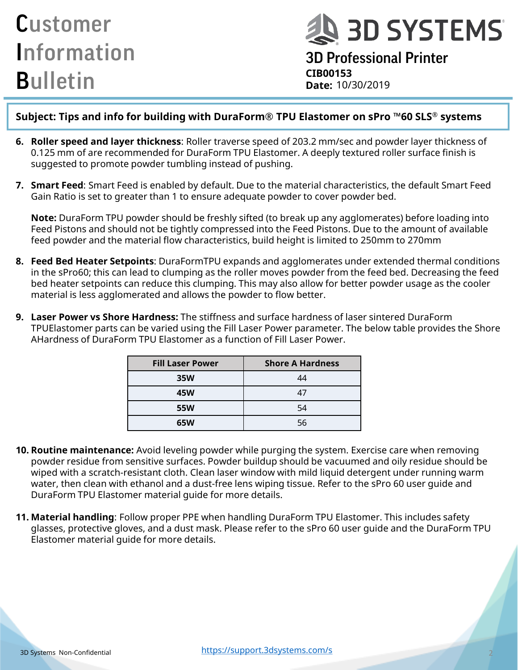**Q 3D SYSTEMS** 

### 3D Professional Printer **CIB00153 Date:**

#### **Subject: Tips and info for building with DuraForm® TPU Elastomer on sPro ™60 SLS® systems**

- **6. Roller speed and layer thickness**: Roller traverse speed of 203.2 mm/sec and powder layer thickness of 0.125 mm of are recommended for DuraForm TPU Elastomer. A deeply textured roller surface finish is suggested to promote powder tumbling instead of pushing.
- **7. Smart Feed**: Smart Feed is enabled by default. Due to the material characteristics, the default Smart Feed Gain Ratio is set to greater than 1 to ensure adequate powder to cover powder bed.

**Note:** DuraForm TPU powder should be freshly sifted (to break up any agglomerates) before loading into Feed Pistons and should not be tightly compressed into the Feed Pistons. Due to the amount of available feed powder and the material flow characteristics, build height is limited to 250mm to 270mm

- **8. Feed Bed Heater Setpoints**: DuraFormTPU expands and agglomerates under extended thermal conditions in the sPro60; this can lead to clumping as the roller moves powder from the feed bed. Decreasing the feed bed heater setpoints can reduce this clumping. This may also allow for better powder usage as the cooler material is less agglomerated and allows the powder to flow better.
- **9. Laser Power vs Shore Hardness:** The stiffness and surface hardness of laser sintered DuraForm TPUElastomer parts can be varied using the Fill Laser Power parameter. The below table provides the Shore AHardness of DuraForm TPU Elastomer as a function of Fill Laser Power.

| <b>Fill Laser Power</b> | <b>Shore A Hardness</b> |
|-------------------------|-------------------------|
| <b>35W</b>              | 44                      |
| 45W                     | 47                      |
| <b>55W</b>              | 54                      |
| 65W                     | 56                      |

- **10. Routine maintenance:** Avoid leveling powder while purging the system. Exercise care when removing powder residue from sensitive surfaces. Powder buildup should be vacuumed and oily residue should be wiped with a scratch-resistant cloth. Clean laser window with mild liquid detergent under running warm water, then clean with ethanol and a dust-free lens wiping tissue. Refer to the sPro 60 user guide and DuraForm TPU Elastomer material guide for more details.
- **11. Material handling**: Follow proper PPE when handling DuraForm TPU Elastomer. This includes safety glasses, protective gloves, and a dust mask. Please refer to the sPro 60 user guide and the DuraForm TPU Elastomer material guide for more details.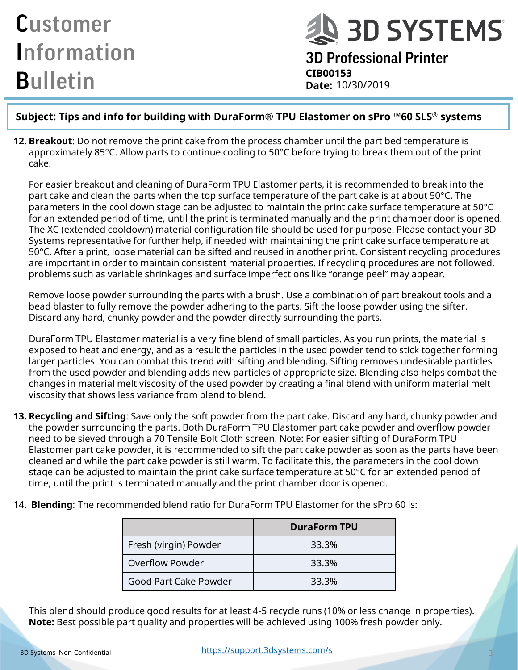**Q 3D SYSTEMS** 

3D Professional Printer **CIB00153 Date:**

#### **Subject: Tips and info for building with DuraForm® TPU Elastomer on sPro ™60 SLS® systems**

**12. Breakout**: Do not remove the print cake from the process chamber until the part bed temperature is approximately 85°C. Allow parts to continue cooling to 50°C before trying to break them out of the print cake.

For easier breakout and cleaning of DuraForm TPU Elastomer parts, it is recommended to break into the part cake and clean the parts when the top surface temperature of the part cake is at about 50°C. The parameters in the cool down stage can be adjusted to maintain the print cake surface temperature at 50°C for an extended period of time, until the print is terminated manually and the print chamber door is opened. The XC (extended cooldown) material configuration file should be used for purpose. Please contact your 3D Systems representative for further help, if needed with maintaining the print cake surface temperature at 50°C. After a print, loose material can be sifted and reused in another print. Consistent recycling procedures are important in order to maintain consistent material properties. If recycling procedures are not followed, problems such as variable shrinkages and surface imperfections like "orange peel" may appear.

Remove loose powder surrounding the parts with a brush. Use a combination of part breakout tools and a bead blaster to fully remove the powder adhering to the parts. Sift the loose powder using the sifter. Discard any hard, chunky powder and the powder directly surrounding the parts.

DuraForm TPU Elastomer material is a very fine blend of small particles. As you run prints, the material is exposed to heat and energy, and as a result the particles in the used powder tend to stick together forming larger particles. You can combat this trend with sifting and blending. Sifting removes undesirable particles from the used powder and blending adds new particles of appropriate size. Blending also helps combat the changes in material melt viscosity of the used powder by creating a final blend with uniform material melt viscosity that shows less variance from blend to blend.

**13. Recycling and Sifting**: Save only the soft powder from the part cake. Discard any hard, chunky powder and the powder surrounding the parts. Both DuraForm TPU Elastomer part cake powder and overflow powder need to be sieved through a 70 Tensile Bolt Cloth screen. Note: For easier sifting of DuraForm TPU Elastomer part cake powder, it is recommended to sift the part cake powder as soon as the parts have been cleaned and while the part cake powder is still warm. To facilitate this, the parameters in the cool down stage can be adjusted to maintain the print cake surface temperature at 50°C for an extended period of time, until the print is terminated manually and the print chamber door is opened.

|                        | <b>DuraForm TPU</b> |
|------------------------|---------------------|
| Fresh (virgin) Powder  | 33.3%               |
| <b>Overflow Powder</b> | 33.3%               |
| Good Part Cake Powder  | 33.3%               |

14. **Blending**: The recommended blend ratio for DuraForm TPU Elastomer for the sPro 60 is:

This blend should produce good results for at least 4-5 recycle runs (10% or less change in properties). **Note:** Best possible part quality and properties will be achieved using 100% fresh powder only.